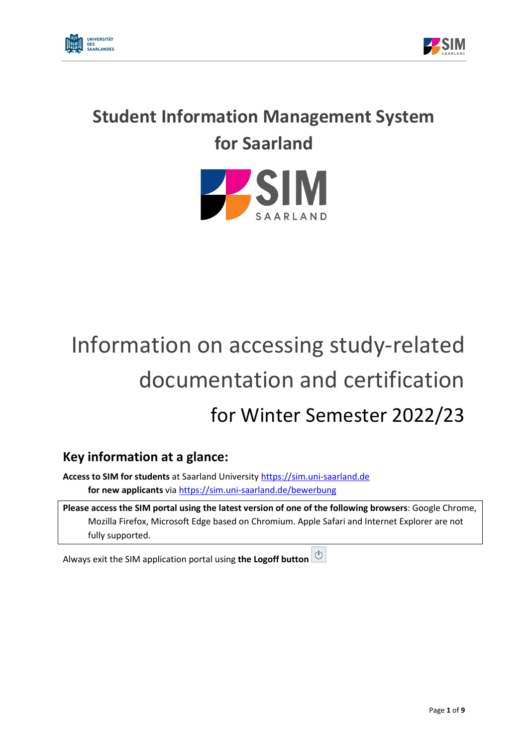



## **Student Information Management System for Saarland**



# Information on accessing study-related documentation and certification for Winter Semester 2022/23

## **Key information at a glance:**

**Access to SIM for students** at Saarland University [https://sim.uni-saarland.de](https://sim.uni-saarland.de/) **for new applicants** vi[a https://sim.uni-saarland.de/bewerbung](https://sim.uni-saarland.de/bewerbung)

**Please access the SIM portal using the latest version of one of the following browsers**: Google Chrome, Mozilla Firefox, Microsoft Edge based on Chromium. Apple Safari and Internet Explorer are not fully supported.

Always exit the SIM application portal using **the Logoff button**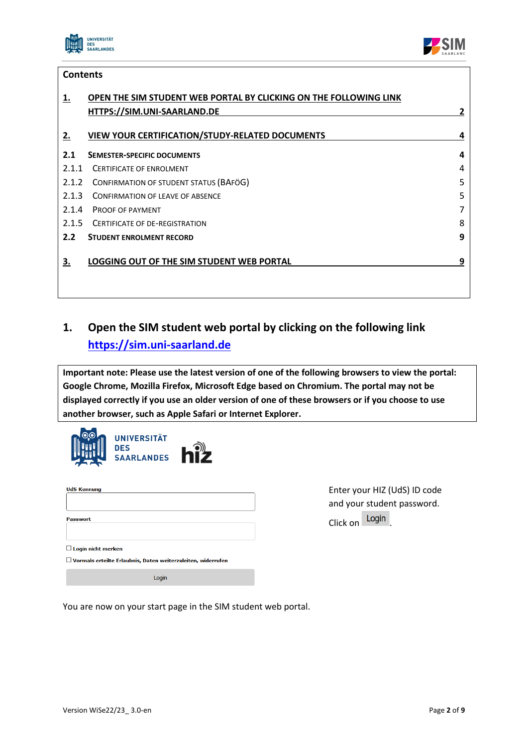

**Contents**

 $\overline{\phantom{a}}$  $\overline{\phantom{0}}$ 



|                  | <b>CUILLEILS</b>                                                  |   |  |  |  |  |
|------------------|-------------------------------------------------------------------|---|--|--|--|--|
| 1.               | OPEN THE SIM STUDENT WEB PORTAL BY CLICKING ON THE FOLLOWING LINK |   |  |  |  |  |
|                  | HTTPS://SIM.UNI-SAARLAND.DE                                       | 2 |  |  |  |  |
|                  |                                                                   |   |  |  |  |  |
| 2.               | <b>VIEW YOUR CERTIFICATION/STUDY-RELATED DOCUMENTS</b>            | 4 |  |  |  |  |
| 2.1              | <b>SEMESTER-SPECIFIC DOCUMENTS</b>                                | 4 |  |  |  |  |
| 2.1.1            | <b>CERTIFICATE OF ENROLMENT</b>                                   | 4 |  |  |  |  |
| 2.1.2            | CONFIRMATION OF STUDENT STATUS (BAFÖG)                            | 5 |  |  |  |  |
| 2.1.3            | <b>CONFIRMATION OF LEAVE OF ABSENCE</b>                           | 5 |  |  |  |  |
| 2.1.4            | <b>PROOF OF PAYMENT</b>                                           | 7 |  |  |  |  |
| 2.1.5            | CERTIFICATE OF DE-REGISTRATION                                    | 8 |  |  |  |  |
| 2.2 <sub>2</sub> | <b>STUDENT ENROLMENT RECORD</b>                                   | 9 |  |  |  |  |
|                  |                                                                   |   |  |  |  |  |
| З.               | LOGGING OUT OF THE SIM STUDENT WEB PORTAL                         | 9 |  |  |  |  |
|                  |                                                                   |   |  |  |  |  |
|                  |                                                                   |   |  |  |  |  |
|                  |                                                                   |   |  |  |  |  |

## <span id="page-1-0"></span>**1. Open the SIM student web portal by clicking on the following link [https://sim.uni-saarland.de](https://sim.uni-saarland.de/)**

**Important note: Please use the latest version of one of the following browsers to view the portal: Google Chrome, Mozilla Firefox, Microsoft Edge based on Chromium. The portal may not be displayed correctly if you use an older version of one of these browsers or if you choose to use another browser, such as Apple Safari or Internet Explorer.**

|                           | <b>UNIVERSITÄT</b><br><b>DES</b><br>SAARLANDES <b>hiz</b>           |  |
|---------------------------|---------------------------------------------------------------------|--|
| <b>UdS Kennung</b>        |                                                                     |  |
| <b>Passwort</b>           |                                                                     |  |
| $\Box$ Login nicht merken | $\Box$ Vormals erteilte Erlaubnis, Daten weiterzuleiten, widerrufen |  |
|                           | Login                                                               |  |

Enter your HIZ (UdS) ID code and your student password. Click on Login

You are now on your start page in the SIM student web portal.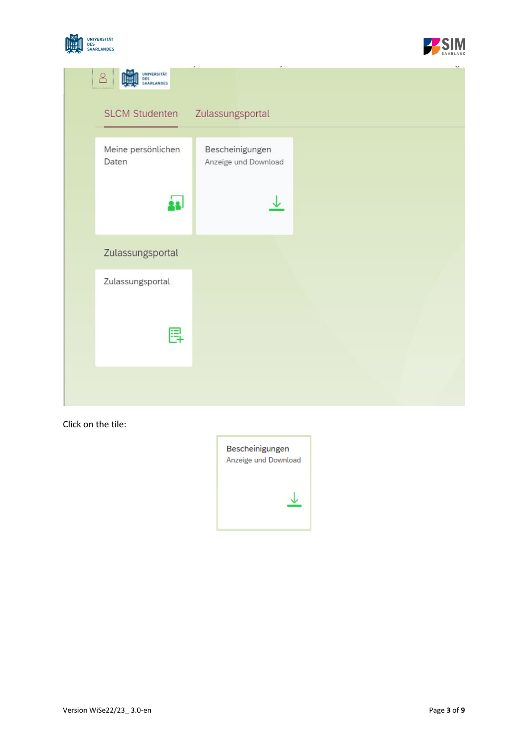



| UNIVERSITÄT<br>DES<br>8<br>SAARLANDES |                                         |  |
|---------------------------------------|-----------------------------------------|--|
| <b>SLCM Studenten</b>                 | Zulassungsportal                        |  |
| Meine persönlichen<br>Daten           | Bescheinigungen<br>Anzeige und Download |  |
| Zulassungsportal                      |                                         |  |
| Zulassungsportal<br>鳳                 |                                         |  |
|                                       |                                         |  |

Click on the tile:

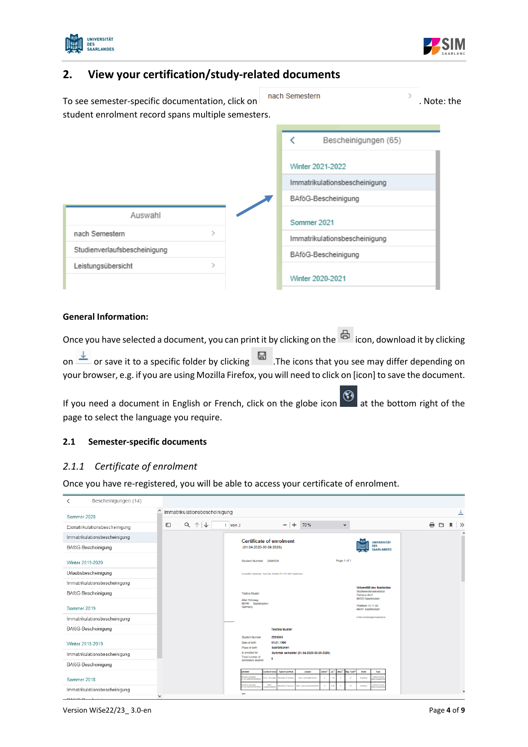



### <span id="page-3-0"></span>**2. View your certification/study-related documents**

To see semester-specific documentation, click on . Note: the . Note: the . Note: the student enrolment record spans multiple semesters.

|                              |  | Bescheinigungen (65)          |
|------------------------------|--|-------------------------------|
|                              |  | Winter 2021-2022              |
|                              |  | Immatrikulationsbescheinigung |
|                              |  | BAföG-Bescheinigung           |
| Auswahl                      |  | Sommer 2021                   |
| nach Semestern               |  | Immatrikulationsbescheinigung |
| Studienverlaufsbescheinigung |  | BAföG-Bescheinigung           |
| Leistungsübersicht           |  |                               |
|                              |  | Winter 2020-2021              |

#### **General Information:**

Once you have selected a document, you can print it by clicking on the  $\overline{\mathbb{G}}$  icon, download it by clicking on  $\stackrel{\downarrow}{\longrightarrow}$  or save it to a specific folder by clicking  $\quad \blacksquare$  . The icons that you see may differ depending on your browser, e.g. if you are using Mozilla Firefox, you will need to click on [icon] to save the document.

If you need a document in English or French, click on the globe icon  $\ddot{\bullet}$  at the bottom right of the page to select the language you require.

#### <span id="page-3-1"></span>**2.1 Semester-specific documents**

#### <span id="page-3-2"></span>*2.1.1 Certificate of enrolment*

Once you have re-registered, you will be able to access your certificate of enrolment.

| Bescheinigungen (14)<br>≺     |                                                                                                                                                                                                                                                                                                                                                    |          |
|-------------------------------|----------------------------------------------------------------------------------------------------------------------------------------------------------------------------------------------------------------------------------------------------------------------------------------------------------------------------------------------------|----------|
| Sommer 2020                   | ́<br>Immatrikulationsbescheinigung                                                                                                                                                                                                                                                                                                                 |          |
| Exmatrikulationsbescheinigung | $\overline{\phantom{0}}$<br>个<br>$\hfill\square$<br>$^{+}$<br>Q<br>70%<br>↓<br>$1$ von $2$<br>$\check{~}$                                                                                                                                                                                                                                          | e<br>נים |
| Immatrikulationsbescheinigung |                                                                                                                                                                                                                                                                                                                                                    |          |
| BAföG-Bescheinigung           | <b>Certificate of enrolment</b><br><b>UNIVERSITÄT</b><br>DES<br>(01.04.2020-30.09.2020)<br><b>SAARLANDES</b>                                                                                                                                                                                                                                       |          |
| Winter 2019-2020              | Page 1 of 1<br>Student Number 2990000                                                                                                                                                                                                                                                                                                              |          |
| Urlaubsbescheinigung          | Universität d. Saarlandes - Stud-Sek., Postfach 15 11 50, 60011 Saarbrücken                                                                                                                                                                                                                                                                        |          |
| Immatrikulationsbescheinigung |                                                                                                                                                                                                                                                                                                                                                    |          |
| BAföG-Bescheinigung           | <b>Universität des Saarlandes</b><br>Studierendensekretariat<br><b>Testina Muster</b><br>Campus A4.2                                                                                                                                                                                                                                               |          |
| Sommer 2019                   | 66123 Saarbnücken<br>Alter Holzweg<br>66140 Saarbrücken<br>Postfach 15 11 50<br>Germany<br>66041 Saarbrücken                                                                                                                                                                                                                                       |          |
| Immatrikulationsbescheinigung | E-Mel: enneldung@ani-searlend.de                                                                                                                                                                                                                                                                                                                   |          |
| BAföG-Bescheinigung           | <b>Testina Muster</b>                                                                                                                                                                                                                                                                                                                              |          |
| Winter 2018-2019              | 2990000<br><b>Student Number</b><br>01.01.1990<br>Date of birth<br><b>Saarbrücken</b><br>Place of birth                                                                                                                                                                                                                                            |          |
| Immatrikulationsbescheinigung | Is enrolled for<br>Summer semester (01.04.2020-30.09.2020)<br>Total number of                                                                                                                                                                                                                                                                      |          |
| BAföG-Bescheinigung           | semesters studed                                                                                                                                                                                                                                                                                                                                   |          |
| Sommer 2018                   | ss <sup>11</sup><br><b>SPed<sup>1</sup></b><br><b>Gurna of Atud</b><br>Type of qualificat<br>Sobject<br><b>Semant</b><br><b>Bag Type<sup>1</sup></b><br>Mode<br>Type<br><b>APIARSKI</b><br>.<br>01.04.2020-30.09.2020<br>rasa has<br>45<br>Sc. Informat<br><b>Inchesor of Science</b><br><b>R.Sc. Informatik (2015)</b><br>Full-time<br>dy program |          |
| Immatrikulationsbescheinigung | $\frac{8.8n}{2\pi\pi\sqrt{2n}}$<br>arener somesky<br><b>Allen Avenue</b><br>$^{01}$<br>Full-lime<br>ocholor of Boloric<br>1.8c. Cyteroid educt (20<br>11.04.0030-06.09.2<br>afte installation<br><b>Karl</b>                                                                                                                                       |          |

Version WiSe22/23\_ 3.0-en Page **4** of **9**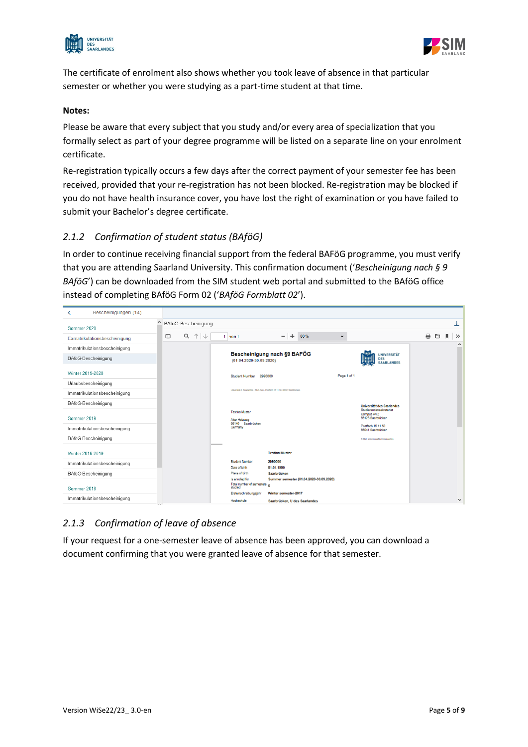



The certificate of enrolment also shows whether you took leave of absence in that particular semester or whether you were studying as a part-time student at that time.

#### **Notes:**

Please be aware that every subject that you study and/or every area of specialization that you formally select as part of your degree programme will be listed on a separate line on your enrolment certificate.

Re-registration typically occurs a few days after the correct payment of your semester fee has been received, provided that your re-registration has not been blocked. Re-registration may be blocked if you do not have health insurance cover, you have lost the right of examination or you have failed to submit your Bachelor's degree certificate.

#### <span id="page-4-0"></span>*2.1.2 Confirmation of student status (BAföG)*

In order to continue receiving financial support from the federal BAFöG programme, you must verify that you are attending Saarland University. This confirmation document ('*Bescheinigung nach § 9 BAföG*') can be downloaded from the SIM student web portal and submitted to the BAföG office instead of completing BAföG Form 02 ('*BAföG Formblatt 02*').

| Bescheinigungen (14)<br>≺     |                                                                                                                            |                         |
|-------------------------------|----------------------------------------------------------------------------------------------------------------------------|-------------------------|
| Sommer 2020                   | BAföG-Bescheinigung                                                                                                        | 土                       |
|                               | $Q \uparrow \downarrow$<br>$ +$<br>$\Box$<br>80 %<br>$\checkmark$                                                          | e<br>₾<br>$\rightarrow$ |
| Exmatrikulationsbescheinigung | $1$ von $1$                                                                                                                | л<br>$\wedge$           |
| Immatrikulationsbescheinigung | Bescheinigung nach §9 BAFÖG<br><b>UNIVERSITÄT</b>                                                                          |                         |
| BAföG-Bescheinigung           | <b>DES</b><br>$(01.04.2020 - 30.09.2020)$<br><b>SAARLANDES</b>                                                             |                         |
| Winter 2019-2020              | Page 1 of 1<br>Student Number 2990000                                                                                      |                         |
| Urlaubsbescheinigung          |                                                                                                                            |                         |
| Immatrikulationsbescheinigung | Universität d. Saarlandes - Stud-Sek., Postfach 15 11 50, 66041 Saarbrücken                                                |                         |
| BAföG-Bescheinigung           | Universität des Saarlandes                                                                                                 |                         |
| Sommer 2019                   | Studierendensekretariat<br><b>Testina Muster</b><br>Campus A4.2<br>66123 Saarbrücken<br>Alter Holzweg<br>66140 Saarbrücken |                         |
| Immatrikulationsbescheinigung | Postfach 15 11 50<br>Germany<br>66041 Saarbrücken                                                                          |                         |
| BAföG-Bescheinigung           | E-Mail: anmeldung@uni-saarland.de                                                                                          |                         |
| Winter 2018-2019              | <b>Testina Muster</b>                                                                                                      |                         |
| Immatrikulationsbescheinigung | Student Number<br>2990000<br>01.01.1990<br>Date of birth                                                                   |                         |
| BAföG-Bescheinigung           | Place of birth<br>Saarbrücken                                                                                              |                         |
| Sommer 2018                   | Is enrolled for<br>Summer semester (01.04.2020-30.09.2020)<br>Total number of semesters<br>studied                         |                         |
| Immatrikulationsbescheinigung | Winter semester-2017<br>Ersteinschreibungsjahr<br>Hochschule<br>Saarbrücken, U des Saarlandes<br>$\mathbf{r}$              | $\checkmark$            |

#### <span id="page-4-1"></span>*2.1.3 Confirmation of leave of absence*

If your request for a one-semester leave of absence has been approved, you can download a document confirming that you were granted leave of absence for that semester.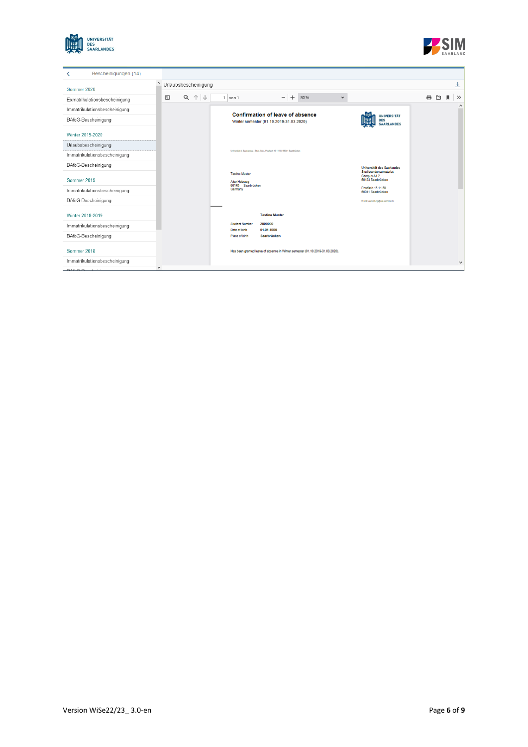



| Bescheinigungen (14)                          |                                                                                                                                                                                                                                                                                                                                                                                                                                                                                                                                                                                                                                                                                                      |                                                             |
|-----------------------------------------------|------------------------------------------------------------------------------------------------------------------------------------------------------------------------------------------------------------------------------------------------------------------------------------------------------------------------------------------------------------------------------------------------------------------------------------------------------------------------------------------------------------------------------------------------------------------------------------------------------------------------------------------------------------------------------------------------------|-------------------------------------------------------------|
| Sommer 2020                                   | Urlaubsbescheinigung                                                                                                                                                                                                                                                                                                                                                                                                                                                                                                                                                                                                                                                                                 | 圡                                                           |
| Exmatrikulationsbescheinigung                 | $Q \uparrow \downarrow$<br>$-1$<br>$\hfill\textcircled{\ensuremath{\mathsf{I}}}\hfill\textcircled{\ensuremath{\mathsf{I}}}\hfill\textcircled{\ensuremath{\mathsf{I}}}\hfill\textcircled{\ensuremath{\mathsf{I}}}\hfill\textcircled{\ensuremath{\mathsf{I}}}\hfill\textcircled{\ensuremath{\mathsf{I}}}\hfill\textcircled{\ensuremath{\mathsf{I}}}\hfill\textcircled{\ensuremath{\mathsf{I}}}\hfill\textcircled{\ensuremath{\mathsf{I}}}\hfill\textcircled{\ensuremath{\mathsf{I}}}\hfill\textcircled{\ensuremath{\mathsf{I}}}\hfill\textcircled{\ensuremath{\mathsf{I}}}\hfill\textcircled{\ensuremath{\mathsf{I}}}\hfill\textcircled{\ensuremath{\math$<br>$+$<br>80%<br>$1$ von $1$<br>$\check{~}$ | €.<br>Ċ٦<br>$\rightarrow$<br>м.                             |
| Immatrikulationsbescheinigung                 | Confirmation of leave of absence                                                                                                                                                                                                                                                                                                                                                                                                                                                                                                                                                                                                                                                                     | $\wedge$                                                    |
| BAföG-Bescheinigung                           | Winter semester (01.10.2019-31.03.2020)                                                                                                                                                                                                                                                                                                                                                                                                                                                                                                                                                                                                                                                              | <b>UNIVERSITÄT</b><br><b>DES</b><br><b>SAARLANDES</b>       |
| Winter 2019-2020                              |                                                                                                                                                                                                                                                                                                                                                                                                                                                                                                                                                                                                                                                                                                      |                                                             |
| Urlaubsbescheinigung                          |                                                                                                                                                                                                                                                                                                                                                                                                                                                                                                                                                                                                                                                                                                      |                                                             |
| Immatrikulationsbescheinigung                 | Universität d. Saarlandes - Stud.-Sok., Postladt 15 11 50, 66041 Saarbrücken                                                                                                                                                                                                                                                                                                                                                                                                                                                                                                                                                                                                                         |                                                             |
| BAföG-Bescheinigung                           |                                                                                                                                                                                                                                                                                                                                                                                                                                                                                                                                                                                                                                                                                                      | Universität des Saarlandes                                  |
| Sommer 2019                                   | <b>Testina Muster</b><br>Alter Holzweg<br>66140 Saarbrücken                                                                                                                                                                                                                                                                                                                                                                                                                                                                                                                                                                                                                                          | Studierendensekretariat<br>Campus A4.2<br>66123 Saarbrücken |
| Immatrikulationsbescheinigung                 | Germany                                                                                                                                                                                                                                                                                                                                                                                                                                                                                                                                                                                                                                                                                              | Postfach 15 11 50<br>66041 Saarbrücken                      |
| BAföG-Bescheinigung                           |                                                                                                                                                                                                                                                                                                                                                                                                                                                                                                                                                                                                                                                                                                      | E-Mail: anmeldung@uni-saarland.de                           |
| Winter 2018-2019                              | <b>Testina Muster</b>                                                                                                                                                                                                                                                                                                                                                                                                                                                                                                                                                                                                                                                                                |                                                             |
| Immatrikulationsbescheinigung                 | 2990000<br><b>Student Number</b><br>Date of birth<br>01.01.1990                                                                                                                                                                                                                                                                                                                                                                                                                                                                                                                                                                                                                                      |                                                             |
| BAföG-Bescheinigung                           | Place of birth<br>Saarbrücken                                                                                                                                                                                                                                                                                                                                                                                                                                                                                                                                                                                                                                                                        |                                                             |
| Sommer 2018                                   | Has been granted leave of absence in Writer semester (01.10.2019-31.03.2020).                                                                                                                                                                                                                                                                                                                                                                                                                                                                                                                                                                                                                        |                                                             |
| Immatrikulationsbescheinigung<br><b>DAMAR</b> |                                                                                                                                                                                                                                                                                                                                                                                                                                                                                                                                                                                                                                                                                                      | $\checkmark$                                                |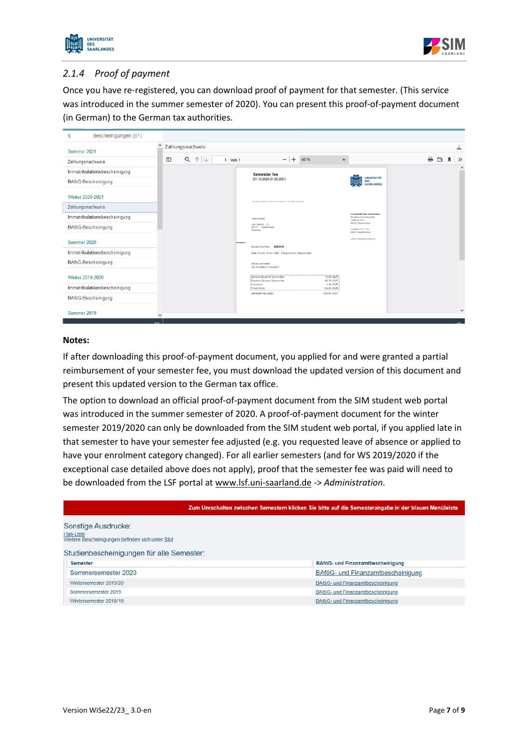



#### <span id="page-6-0"></span>*2.1.4 Proof of payment*

Once you have re-registered, you can download proof of payment for that semester. (This service was introduced in the summer semester of 2020). You can present this proof-of-payment document (in German) to the German tax authorities.

| Bescheinigungen (51)          |              |                                                            |                                                                                       |                                                                             |        |                    |
|-------------------------------|--------------|------------------------------------------------------------|---------------------------------------------------------------------------------------|-----------------------------------------------------------------------------|--------|--------------------|
| Sommer 2021                   | $\wedge$     | Zahlungsnachweis                                           |                                                                                       |                                                                             |        | ≚                  |
| Zahlungsnachweis              |              | $\uparrow \downarrow$<br>Q<br>$\hfill\square$<br>$1$ von 1 | 60%<br>$\check{ }$                                                                    |                                                                             | e<br>凹 | $\rightarrow$<br>и |
| Immatrikulationsbescheinigung |              |                                                            | <b>Semester fee</b>                                                                   |                                                                             |        | $\hat{}$           |
| BAföG-Bescheinigung           |              |                                                            | $(01.10.2020 - 31.03.2021)$                                                           | <b>UNIVERSITÄT</b><br>DES<br><b>SAARLANDES</b>                              |        |                    |
| Winter 2020-2021              |              |                                                            | Universität d. Sententes - Stud-Sek., Pontlech 15 11 50, 05941 Cearbricken            |                                                                             |        |                    |
| Zahlungsnachweis              |              |                                                            |                                                                                       |                                                                             |        |                    |
| Immatrikulationsbescheinigung |              |                                                            | <b>Franz Musler</b>                                                                   | Universitet des Saarlandes<br><b>Studierendensekretariat</b><br>Campus A4.2 |        |                    |
| BAföG-Bescheinigung           |              |                                                            | Uni Campus 15<br>66123 Saarbrücken<br>Germany                                         | 66123 Saarbrücken<br>Postfach 15 11 50<br>66041 Saarbrücken                 |        |                    |
| Sommer 2020                   |              |                                                            | Student Number 2990013                                                                | Link entringly/research                                                     |        |                    |
| Immatrikulationsbescheinigung |              |                                                            | Date of birth: 01.01.1990 Place of birth: Saarbrücken                                 |                                                                             |        |                    |
| BAföG-Bescheinigung           |              |                                                            | Winter semester<br>(01.10.2020-31.03.2021)                                            |                                                                             |        |                    |
| Winter 2019-2020              |              |                                                            | General Students' Committee<br>16.00 EUR<br>96.70 EUR<br>Saarland Student Service fee |                                                                             |        |                    |
| Immatrikulationsbescheinigung |              |                                                            | 1.30 EUR<br>Insurance<br><b>Travel ticket</b><br>124.00 EUR<br>238.00 EUR             |                                                                             |        |                    |
| BAföG-Bescheinigung           |              |                                                            | Semester fee (total)                                                                  |                                                                             |        |                    |
| Sommer 2019                   | $\checkmark$ |                                                            |                                                                                       |                                                                             |        | $\checkmark$       |

#### **Notes:**

If after downloading this proof-of-payment document, you applied for and were granted a partial reimbursement of your semester fee, you must download the updated version of this document and present this updated version to the German tax office.

The option to download an official proof-of-payment document from the SIM student web portal was introduced in the summer semester of 2020. A proof-of-payment document for the winter semester 2019/2020 can only be downloaded from the SIM student web portal, if you applied late in that semester to have your semester fee adjusted (e.g. you requested leave of absence or applied to have your enrolment category changed). For all earlier semesters (and for WS 2019/2020 if the exceptional case detailed above does not apply), proof that the semester fee was paid will need to be downloaded from the LSF portal a[t www.lsf.uni-saarland.de](http://www.lsf.uni-saarland.de/) -> *Administration*.

|                                                                                                                                   |  | Zum Umschalten zwischen Semestern klicken Sie bitte auf die Semesterangabe in der blauen Menüleiste |  |  |  |
|-----------------------------------------------------------------------------------------------------------------------------------|--|-----------------------------------------------------------------------------------------------------|--|--|--|
| Sonstige Ausdrucke:<br>iTan-Liste<br>Weitere Bescheinigungen befinden sich unter SIM<br>Studienbescheinigungen für alle Semester: |  |                                                                                                     |  |  |  |
| <b>Semester</b>                                                                                                                   |  | BAföG- und Finanzamtbescheinigung                                                                   |  |  |  |
| Sommersemester 2020                                                                                                               |  | BAföG- und Finanzamtbescheinigung                                                                   |  |  |  |
| Wintersemester 2019/20                                                                                                            |  | BAföG- und Finanzamtbescheinigung                                                                   |  |  |  |
| Sommersemester 2019                                                                                                               |  | BAföG- und Finanzamtbescheinigung                                                                   |  |  |  |
| Wintersemester 2018/19                                                                                                            |  | BAföG- und Finanzamtbescheinigung                                                                   |  |  |  |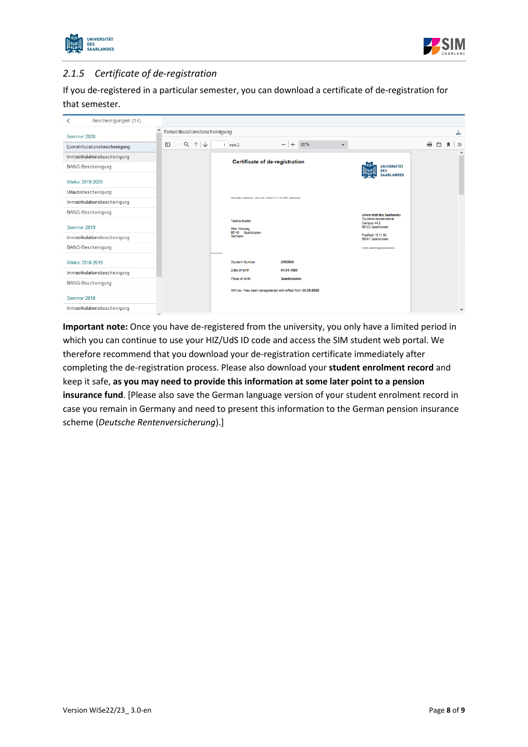



#### <span id="page-7-0"></span>*2.1.5 Certificate of de-registration*

If you de-registered in a particular semester, you can download a certificate of de-registration for that semester.

| Bescheinigungen (14)<br>≺     |                                                                                                                            |                               |
|-------------------------------|----------------------------------------------------------------------------------------------------------------------------|-------------------------------|
| Sommer 2020                   | Exmatrikulationsbescheinigung                                                                                              | ≚                             |
|                               | $-$<br>个<br>Q<br>$+$<br>$\hfill\square$<br>$\downarrow$<br>80%<br>$1$ von $2$<br>$\check{~}$                               | ₩.<br>凹<br>л<br>$\rightarrow$ |
| Exmatrikulationsbescheinigung |                                                                                                                            | $\wedge$                      |
| Immatrikulationsbescheinigung | Certificate of de-registration                                                                                             |                               |
| BAföG-Bescheinigung           | <b>UNIVERSITÄT</b><br><b>DES</b>                                                                                           |                               |
| Winter 2019-2020              | <b>SAARLANDES</b>                                                                                                          |                               |
| Urlaubsbescheinigung          |                                                                                                                            |                               |
| Immatrikulationsbescheinigung | Universität d. Saarlandes - Stud - Sak., Postfach 15 11 50, 66041 Saarbrücken                                              |                               |
| BAföG-Bescheinigung           | Universität des Saarlandes                                                                                                 |                               |
| Sommer 2019                   | Studierendensekretariat<br><b>Testina Muster</b><br>Campus A4.2<br>66123 Saarbrücken<br>Alter Holzweg<br>66140 Saarbrücken |                               |
| Immatrikulationsbescheinigung | Postfach 15 11 50<br>Germany<br>66041 Saarbrücken                                                                          |                               |
| BAföG-Bescheinigung           | E-Mail: anmeldung@uni-saarland.de                                                                                          |                               |
| Winter 2018-2019              | <b>Student Number</b><br>2990000                                                                                           |                               |
| Immatrikulationsbescheinigung | Date of birth<br>01.01.1990                                                                                                |                               |
| BAföG-Bescheinigung           | Place of birth<br>Saarbrücken                                                                                              |                               |
| Sommer 2018                   | Will be / Has been deregistered with effect from 30.09.2020                                                                |                               |
| Immatrikulationsbescheinigung | u a                                                                                                                        | $\checkmark$                  |

**Important note:** Once you have de-registered from the university, you only have a limited period in which you can continue to use your HIZ/UdS ID code and access the SIM student web portal. We therefore recommend that you download your de-registration certificate immediately after completing the de-registration process. Please also download your **student enrolment record** and keep it safe, **as you may need to provide this information at some later point to a pension insurance fund**. [Please also save the German language version of your student enrolment record in case you remain in Germany and need to present this information to the German pension insurance scheme (*Deutsche Rentenversicherung*).]